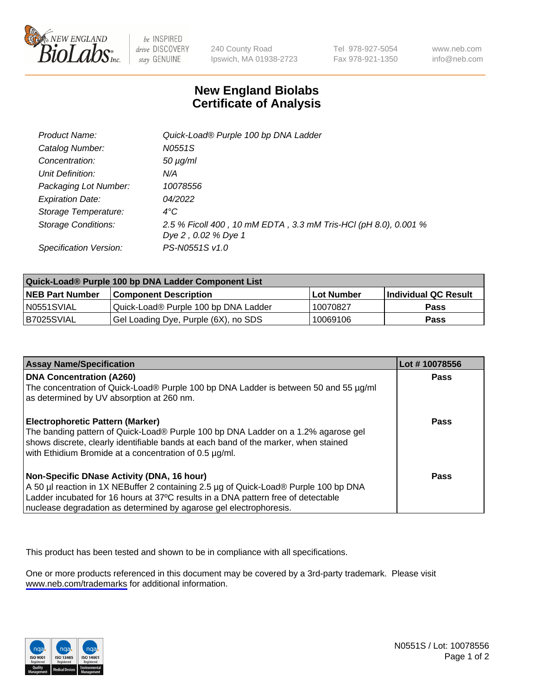

be INSPIRED drive DISCOVERY stay GENUINE

240 County Road Ipswich, MA 01938-2723 Tel 978-927-5054 Fax 978-921-1350

www.neb.com info@neb.com

## **New England Biolabs Certificate of Analysis**

| Product Name:           | Quick-Load® Purple 100 bp DNA Ladder                            |
|-------------------------|-----------------------------------------------------------------|
| Catalog Number:         | N0551S                                                          |
| Concentration:          | $50 \mu g/ml$                                                   |
| Unit Definition:        | N/A                                                             |
| Packaging Lot Number:   | 10078556                                                        |
| <b>Expiration Date:</b> | 04/2022                                                         |
| Storage Temperature:    | $4^{\circ}$ C                                                   |
| Storage Conditions:     | 2.5 % Ficoll 400, 10 mM EDTA, 3.3 mM Tris-HCl (pH 8.0), 0.001 % |
|                         | Dye 2, 0.02 % Dye 1                                             |
| Specification Version:  | PS-N0551S v1.0                                                  |

| Quick-Load® Purple 100 bp DNA Ladder Component List |                                      |              |                             |  |
|-----------------------------------------------------|--------------------------------------|--------------|-----------------------------|--|
| <b>NEB Part Number</b>                              | <b>Component Description</b>         | l Lot Number | <b>Individual QC Result</b> |  |
| N0551SVIAL                                          | Quick-Load® Purple 100 bp DNA Ladder | 10070827     | <b>Pass</b>                 |  |
| I B7025SVIAL                                        | Gel Loading Dye, Purple (6X), no SDS | 10069106     | Pass                        |  |

| <b>Assay Name/Specification</b>                                                                                                                                                                                                                                                               | Lot #10078556 |
|-----------------------------------------------------------------------------------------------------------------------------------------------------------------------------------------------------------------------------------------------------------------------------------------------|---------------|
| <b>DNA Concentration (A260)</b><br>The concentration of Quick-Load® Purple 100 bp DNA Ladder is between 50 and 55 µg/ml<br>as determined by UV absorption at 260 nm.                                                                                                                          | <b>Pass</b>   |
| <b>Electrophoretic Pattern (Marker)</b><br>The banding pattern of Quick-Load® Purple 100 bp DNA Ladder on a 1.2% agarose gel<br>shows discrete, clearly identifiable bands at each band of the marker, when stained<br>with Ethidium Bromide at a concentration of 0.5 µg/ml.                 | <b>Pass</b>   |
| Non-Specific DNase Activity (DNA, 16 hour)<br>A 50 µl reaction in 1X NEBuffer 2 containing 2.5 µg of Quick-Load® Purple 100 bp DNA<br>Ladder incubated for 16 hours at 37°C results in a DNA pattern free of detectable<br>nuclease degradation as determined by agarose gel electrophoresis. | Pass          |

This product has been tested and shown to be in compliance with all specifications.

One or more products referenced in this document may be covered by a 3rd-party trademark. Please visit <www.neb.com/trademarks>for additional information.